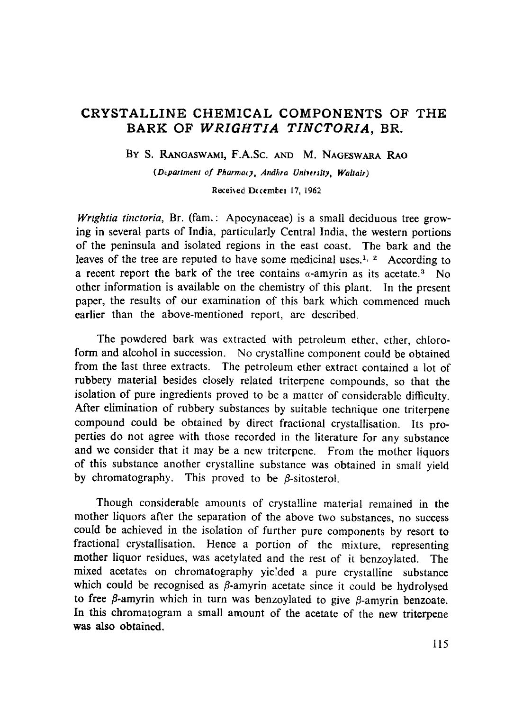# CRYSTALLINE CHEMICAL COMPONENTS OF THE BARK OF *WRIGHTIA TINCTORIA,* BR.

BY S. RANGASWAMI, F.A.Sc. AND M. NAGESWARA RAO

*(Department of Pharmacy, Andhra University, Waltair)* 

Received December 17, 1962

*Wrightia tinctoria*, Br. (fam.: Apocynaceae) is a small deciduous tree growing in several parts of India, particularly Central India, the western portions of the peninsula and isolated regions in the east coast. The bark and the leaves of the tree are reputed to have some medicinal uses.<sup>1, 2</sup> According to a recent report the bark of the tree contains  $\alpha$ -amyrin as its acetate.<sup>3</sup> No other information is available on the chemistry of this plant. In the present paper, the results of our examination of this bark which commenced much earlier than the above-mentioned report, are described.

The powdered bark was extracted with petroleum ether, ether, chloroform and alcohol in succession. No crystalline component could be obtained from the last three extracts. The petroleum ether extract contained a lot of rubbery material besides closely related triterpene compounds, so that the isolation of pure ingredients proved to be a matter of considerable difficulty. After elimination of rubbery substances by suitable technique one triterpene compound could be obtained by direct fractional crystallisation. Its properties do not agree with those recorded in the literature for any substance and we consider that it may be a new triterpene. From the mother liquors of this substance another crystalline substance was obtained in small yield by chromatography. This proved to be  $\beta$ -sitosterol.

Though considerable amounts of crystalline material remained in the mother liquors after the separation of the above two substances, no success could be achieved in the isolation of further pure components by resort to fractional crystallisation. Hence a portion of the mixture, representing mother liquor residues, was acetylated and the rest of ir benzoylated. The mixed acetates on chromatography yie:ded a pure crystalline substance which could be recognised as  $\beta$ -amyrin acetate since it could be hydrolysed to free  $\beta$ -amyrin which in turn was benzoylated to give  $\beta$ -amyrin benzoate. In this chromatogram a small amount of the acetate of the new triterpene was also obtained.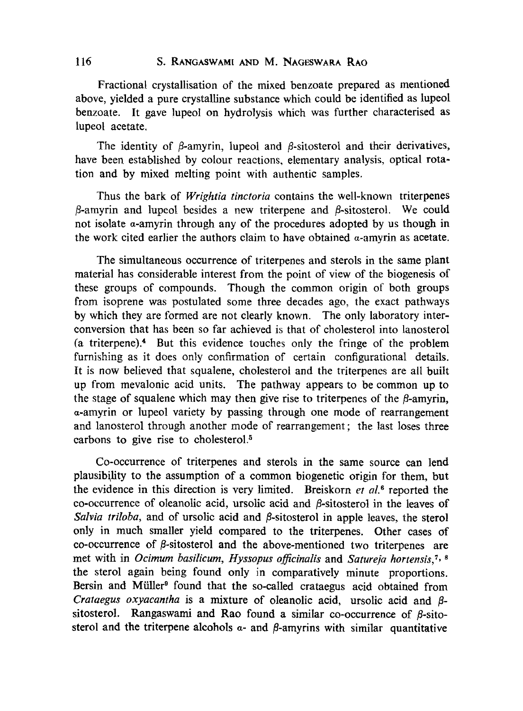## 116 S. RANGASWAMI AND M. NAGESWARA RAO

Fractional crystallisation of the mixed benzoate prepared as mentioned above, yielded a pure crystalline substance which could be identified as lupeol benzoate. It gave lupeol on hydrolysis which was further characterised as lupeol acetate.

The identity of  $\beta$ -amyrin, lupeol and  $\beta$ -sitosterol and their derivatives, have been established by colour reactions, elementary analysis, optical rotation and by mixed melting point with authentic samples.

Thus the bark of *Wrightia tinctoria* contains the well-known triterpenes  $\beta$ -amyrin and lupeol besides a new triterpene and  $\beta$ -sitosterol. We could not isolate  $\alpha$ -amyrin through any of the procedures adopted by us though in the work cited earlier the authors claim to have obtained  $\alpha$ -amyrin as acetate.

The simultaneous occurrence of triterpenes and sterols in the same plant matcrial has considerable interest from the point of view of the biogenesis of these groups of compounds. Though the common origin of both groups from isoprene was postulated some three decades ago, the cxact pathways by which they are formed are not clearly known. The only laboratory interconversion that has been so far achieved is that of cholesterol into lanosterol (a triterpene).<sup>4</sup> But this evidence touches only the fringe of the problem furnishing as it does only confirmation of certain configurational details. It is now believed that squalene, cholesterol and the triterpenes are all built up from mevalonic acid units. The pathway appears to be common up to the stage of squalene which may then give rise to triterpenes of the  $\beta$ -amyrin, ~-amyrin or lupeol variety by passing through one mode of rearrangement and lanosterol through another mode of rearrangement ; the last loses three carbons to give rise to cholesterol.<sup>5</sup>

Co-occurrence of triterpenes and sterols in the same source can lend plausibility to the assumption of a common biogenetic origin for them, but the evidence in this direction is very limited. Breiskorn *et aL 8* reported the co-occurrence of oleanolic acid, ursolic acid and  $\beta$ -sitosterol in the leaves of *Salvia triloba*, and of ursolic acid and  $\beta$ -sitosterol in apple leaves, the sterol only in much smaller yield compared to the triterpenes. Other cases of co-occurrence of  $\beta$ -sitosterol and the above-mentioned two triterpenes are met with in *Ocimum basilicum, Hyssopus ojficinalis* and *Satureja hortensis, 7, 8*  the sterol again being found only in comparatively minute proportions. Bersin and Müller<sup>9</sup> found that the so-called crataegus acid obtained from *Crataegus oxyacantha* is a mixture of oleanolic acid, ursolic acid and  $\beta$ sitosterol. Rangaswami and Rao found a similar co-occurrence of  $\beta$ -sitosterol and the triterpene alcohols  $\alpha$ - and  $\beta$ -amyrins with similar quantitative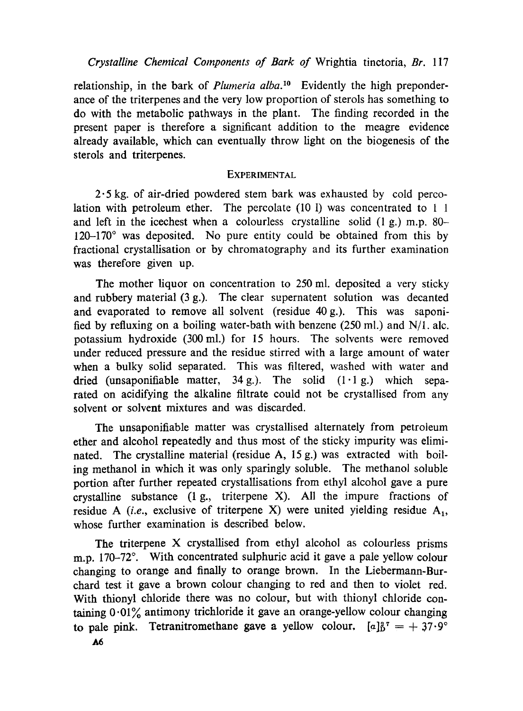*Crystalline Chemical Components of Bark of* Wrightia tinctoria, *Br.* 117

relationship, in the bark of *Plumeria alba*.<sup>10</sup> Evidently the high preponderance of the triterpenes and the very low proportion of sterols has something to do with the metabolic pathways in the plant. The finding recorded in the present paper is therefore a significant addition to the meagre evidence already available, which can eventually throw light on the biogenesis of the sterols and triterpenes.

#### **EXPERIMENTAL**

 $2.5$  kg. of air-dried powdered stem bark was exhausted by cold percolation with petroleum ether. The percolate  $(10 1)$  was concentrated to 1 1 and left in the icechest when a colourless crystalline solid (1 g.) m.p. 80-  $120-170^\circ$  was deposited. No pure entity could be obtained from this by fractional crystallisation or by chromatography and its further examination was therefore given up.

The mother liquor on concentration to 250 ml. deposited a very sticky and rubbery material (3 g.). The clear supernatent solution was decanted and evaporated to remove all solvent (residue 40 g.). This was saponified by refluxing on a boiling water-bath with benzene  $(250 \text{ ml.})$  and N/l. alc. potassium hydroxide (300 ml.) for 15 hours. The solvents were removed under reduced pressure and the residue stirred with a large amount of water when a bulky solid separated. This was filtered, washed with water and dried (unsaponifiable matter,  $34 g$ .). The solid  $(1 \cdot 1 g)$  which separated on acidifying the alkaline filtrate could not be crystallised from any solvent or solvent mixtures and was discarded.

The unsaponifiable matter was crystallised alternately from petroleum ether and alcohol repeatedly and thus most of the sticky impurity was eliminated. The crystalline material (residue A, 15 g.) was extracted with boiling methanol in which it was only sparingly soluble. The methanol soluble portion after further repeated crystallisations from ethyl alcohol gave a pure crystalline substance (1 g., triterpene X). All the impure fractions of residue A *(i.e., exclusive of triterpene X)* were united yielding residue  $A_1$ , whose further examination is described below.

The triterpene X crystallised from ethyl alcohol as colourless prisms m.p. 170-72°. With concentrated sulphuric acid it gave a pale yellow colour changing to orange and finally to orange brown. In the Liebermann-Burchard test it gave a brown colour changing to red and then to violet red. With thionyl chloride there was no colour, but with thionyl chloride containing  $0.01\%$  antimony trichloride it gave an orange-yellow colour changing to pale pink. Tetranitromethane gave a yellow colour,  $[a]_0^2$ <sup>7</sup> = + 37.9°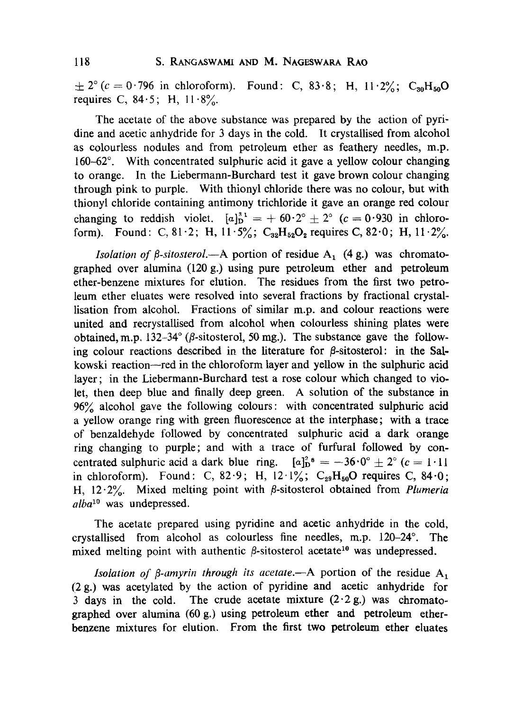$\pm 2^{\circ}$  (c = 0.796 in chloroform). Found: C, 83.8; H, 11.2%; C<sub>30</sub>H<sub>50</sub>O requires C,  $84.5$ ; H,  $11.8\%$ .

The acetate of the above substance was prepared by the action of pyridine and acetic anhydride for 3 days in the cold. It crystallised from alcohol as colourless nodules and from petroleum ether as feathery needles, m.p. 160-62 $^{\circ}$ . With concentrated sulphuric acid it gave a yellow colour changing to orange. In the Liebermann-Burchard test it gave brown colour changing through pink to purple. With thionyl chloride there was no colour, but with thionyl chloride containing antimony trichloride it gave an orange red colour changing to reddish violet.  $[a]_D^{31} = + 60.2^\circ \pm 2^\circ$  (c = 0.930 in chloroform). Found: C, 81.2; H, 11.5%; C<sub>32</sub>H<sub>52</sub>O<sub>2</sub> requires C, 82.0; H, 11.2%.

*lsolation of*  $\beta$ *-sitosterol.*--A portion of residue A<sub>1</sub> (4 g.) was chromatographed over alumina (120 g.) using pure petroleum ether and petroleum ether-benzene mixtures for elution. The residues from the first two petroleum ether eluates were resolved into several fractions by fractional crystallisation from alcohol. Fractions of similar m.p. and colour reactions were united and recrystallised from alcohol when colourless shining plates were obtained, m.p.  $132-34^{\circ}$  ( $\beta$ -sitosterol, 50 mg.). The substance gave the following colour reactions described in the literature for  $\beta$ -sitosterol: in the Salkowski reaction--red in the chloroform layer and yellow in the sulphuric acid layer; in the Liebermann-Burchard test a rose colour which changed to violet, then deep blue and finally deep green. A solution of the substanee in 96% alcohol gave the following colours: with concentrated sulphuric acid a yellow orange ring with green fluorescence at the interphase; with a trace of benzaldehyde followed by concentrated sulphuric acid a dark orange ring changing to purple; and with a trace of furfural followed by concentrated sulphuric acid a dark blue ring.  $[a]_{D}^{2}$ <sup>s</sup> =  $-36.0^{\circ} \pm 2^{\circ}$  (c = 1.11) in chloroform). Found: C, 82.9; H,  $12.1\%$ ; C<sub>29</sub>H<sub>50</sub>O requires C, 84.0; H, 12.2%. Mixed melting point with  $\beta$ -sitosterol obtained from *Plumeria alba*<sup>10</sup> was undepressed.

The acetate prepared using pyridine and acetic anhydride in the cold, crystallised from alcohol as colourless fine needles, m.p.  $120-24^\circ$ . The mixed melting point with authentic  $\beta$ -sitosterol acetate<sup>10</sup> was undepressed.

*lsolation of*  $\beta$ *-amyrin through its acetate.*--A portion of the residue  $A_1$ (2 g.) was acetylated by the action of pyridine and acefic anhydride for 3 days in the cold. The crude acetate mixture  $(2.2 g)$  was chromatographed over alumina (60 g.) using petroleum ether and petroleum etherbenzene mixtures for elution. From the first two petroleum ether eluates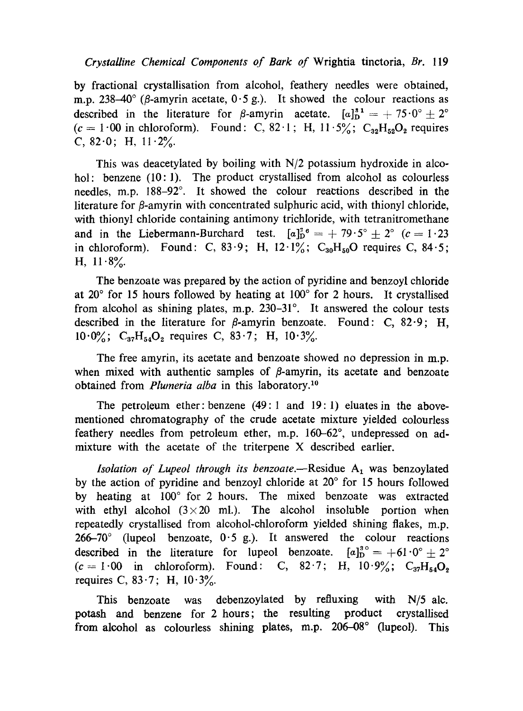#### *CrystaUine Chemical Components of Bark of* Wrightia tinctoria, *Br.* 119

by fractional crystallisation from alcohol, feathery needles were obtained, m.p. 238-40 $^{\circ}$  ( $\beta$ -amyrin acetate, 0.5 g.). It showed the colour reactions as described in the literature for  $\beta$ -amyrin acetate.  $[a]_D^{s_1} = + 75.0^{\circ} \pm 2^{\circ}$  $(c = 1.00$  in chloroform). Found: C, 82.1; H, 11.5%; C<sub>32</sub>H<sub>52</sub>O<sub>2</sub> requires C,  $82.0$ ; H,  $11.2\%$ .

This was deacetylated by boiling with *N/2* potassium hydroxide in alcohol: benzene (10:1). The product crystallised from alcohol as colourless needles, m.p. 188–92°. It showed the colour reactions described in the literature for  $\beta$ -amyrin with concentrated sulphuric acid, with thionyl chloride, with thionyl chloride containing antimony trichloride, with tetranitromethane and in the Liebermann-Burchard test.  $[a]_{D}^{36} = +79.5^{\circ} \pm 2^{\circ}$  (c = 1.23) in chloroform). Found: C, 83.9; H, 12.1%;  $C_{30}H_{50}O$  requires C, 84.5; H,  $11.8\%$ .

The benzoate was prepared by the action of pyridine and benzoyl chloride at 20 $\degree$  for 15 hours followed by heating at 100 $\degree$  for 2 hours. It crystallised from alcohol as shining plates, m.p.  $230-31^\circ$ . It answered the colour tests described in the literature for  $\beta$ -amyrin benzoate. Found: C, 82.9; H,  $10.0\%$ ; C<sub>37</sub>H<sub>54</sub>O<sub>2</sub> requires C, 83.7; H,  $10.3\%$ .

The free amyrin, its acetate and benzoate showed no depression in m.p. when mixed with authentic samples of  $\beta$ -amyrin, its acetate and benzoate obtained from *Plumeria alba* in this laboratory.<sup>10</sup>

The petroleum ether: benzene (49:1 and 19: 1) eluates in the abovementioned chromatography of the crude acetate mixture yielded colourless feathery needles from petroleum ether, m.p.  $160-62^\circ$ , undepressed on admixture with the acetate of the triterpene X described earlier.

*lsolation of Lupeol through its benzoate.*—Residue  $A_1$  was benzoylated by the action of pyridine and benzoyl chloride at  $20^{\circ}$  for 15 hours followed by heating at 100° for 2 hours. The mixed benzoate was extracted with ethyl alcohol  $(3\times20 \text{ ml})$ . The alcohol insoluble portion when repeatedly crystallised from alcohol-chloroform yielded shining flakes, m.p. 266-70 $\degree$  (lupeol benzoate, 0.5 g.). It answered the colour reactions described in the literature for lupeol benzoate.  $[a]_D^{3} = +61.0^{\circ} \pm 2^{\circ}$  $(c=1.00$  in chloroform). Found: C, 82.7; H,  $10.9\%$ ; C<sub>37</sub>H<sub>54</sub>O<sub>2</sub> requires C, 83.7; H,  $10.3\%$ .

This benzoate was debenzoylated by refluxing with N/5 alc. potash and benzene for 2 hours; the resulting product crystallised from alcohol as colourless shining plates, m.p. 206-08° (lupeol). This